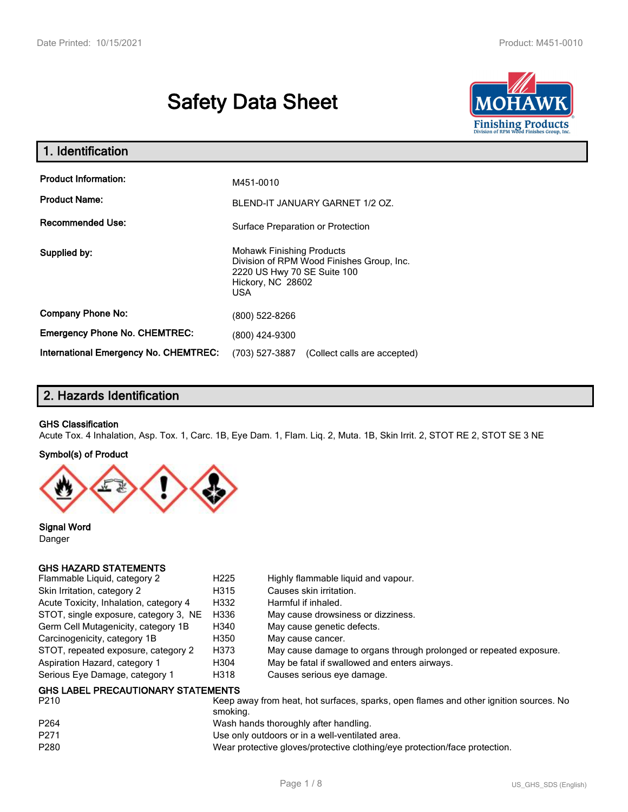# **Safety Data Sheet**



| 1. Identification                            |                                                                                                                                                 |  |
|----------------------------------------------|-------------------------------------------------------------------------------------------------------------------------------------------------|--|
| <b>Product Information:</b>                  | M451-0010                                                                                                                                       |  |
| <b>Product Name:</b>                         | BLEND-IT JANUARY GARNET 1/2 OZ.                                                                                                                 |  |
| <b>Recommended Use:</b>                      | Surface Preparation or Protection                                                                                                               |  |
| Supplied by:                                 | <b>Mohawk Finishing Products</b><br>Division of RPM Wood Finishes Group, Inc.<br>2220 US Hwy 70 SE Suite 100<br>Hickory, NC 28602<br><b>USA</b> |  |
| <b>Company Phone No:</b>                     | (800) 522-8266                                                                                                                                  |  |
| <b>Emergency Phone No. CHEMTREC:</b>         | (800) 424-9300                                                                                                                                  |  |
| <b>International Emergency No. CHEMTREC:</b> | (703) 527-3887<br>(Collect calls are accepted)                                                                                                  |  |

# **2. Hazards Identification**

#### **GHS Classification**

Acute Tox. 4 Inhalation, Asp. Tox. 1, Carc. 1B, Eye Dam. 1, Flam. Liq. 2, Muta. 1B, Skin Irrit. 2, STOT RE 2, STOT SE 3 NE

#### **Symbol(s) of Product**



**Signal Word** Danger

## **GHS HAZARD STATEMENTS**

| Flammable Liquid, category 2                      | H <sub>225</sub> | Highly flammable liquid and vapour.                                |
|---------------------------------------------------|------------------|--------------------------------------------------------------------|
| Skin Irritation, category 2                       | H315             | Causes skin irritation.                                            |
| Acute Toxicity, Inhalation, category 4            | H332             | Harmful if inhaled.                                                |
| STOT, single exposure, category 3, NE             | H336             | May cause drowsiness or dizziness.                                 |
| Germ Cell Mutagenicity, category 1B               | H340             | May cause genetic defects.                                         |
| Carcinogenicity, category 1B                      | H350             | May cause cancer.                                                  |
| STOT, repeated exposure, category 2               | H373             | May cause damage to organs through prolonged or repeated exposure. |
| Aspiration Hazard, category 1                     | H304             | May be fatal if swallowed and enters airways.                      |
| Serious Eye Damage, category 1                    | H318             | Causes serious eye damage.                                         |
| <b>GHS LABEL PRECAUTIONARY STATEMENTS</b><br>---- |                  |                                                                    |

| P210             | Keep away from heat, hot surfaces, sparks, open flames and other ignition sources. No<br>smokina. |
|------------------|---------------------------------------------------------------------------------------------------|
| P <sub>264</sub> | Wash hands thoroughly after handling.                                                             |
| P271             | Use only outdoors or in a well-ventilated area.                                                   |
| P280             | Wear protective gloves/protective clothing/eye protection/face protection.                        |
|                  |                                                                                                   |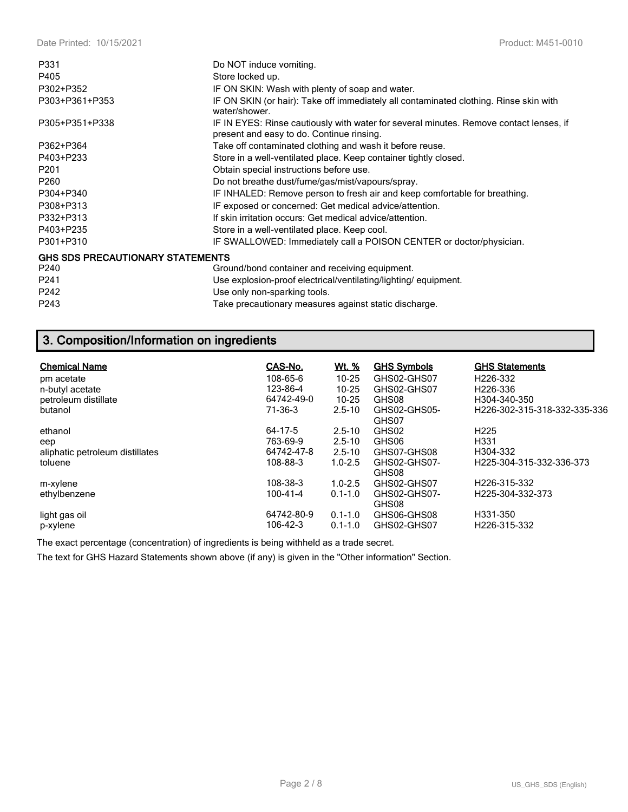| P331                                    | Do NOT induce vomiting.                                                                                                             |
|-----------------------------------------|-------------------------------------------------------------------------------------------------------------------------------------|
| P405                                    | Store locked up.                                                                                                                    |
| P302+P352                               | IF ON SKIN: Wash with plenty of soap and water.                                                                                     |
| P303+P361+P353                          | IF ON SKIN (or hair): Take off immediately all contaminated clothing. Rinse skin with<br>water/shower.                              |
| P305+P351+P338                          | IF IN EYES: Rinse cautiously with water for several minutes. Remove contact lenses, if<br>present and easy to do. Continue rinsing. |
| P362+P364                               | Take off contaminated clothing and wash it before reuse.                                                                            |
| P403+P233                               | Store in a well-ventilated place. Keep container tightly closed.                                                                    |
| P <sub>201</sub>                        | Obtain special instructions before use.                                                                                             |
| P <sub>260</sub>                        | Do not breathe dust/fume/gas/mist/vapours/spray.                                                                                    |
| P304+P340                               | IF INHALED: Remove person to fresh air and keep comfortable for breathing.                                                          |
| P308+P313                               | IF exposed or concerned: Get medical advice/attention.                                                                              |
| P332+P313                               | If skin irritation occurs: Get medical advice/attention.                                                                            |
| P403+P235                               | Store in a well-ventilated place. Keep cool.                                                                                        |
| P301+P310                               | IF SWALLOWED: Immediately call a POISON CENTER or doctor/physician.                                                                 |
| <b>GHS SDS PRECAUTIONARY STATEMENTS</b> |                                                                                                                                     |
| P240                                    | Ground/bond container and receiving equipment.                                                                                      |
| P <sub>241</sub>                        | Use explosion-proof electrical/ventilating/lighting/equipment.                                                                      |
| P242                                    | Use only non-sparking tools.                                                                                                        |
| P243                                    | Take precautionary measures against static discharge.                                                                               |

# **3. Composition/Information on ingredients**

| <b>Chemical Name</b>            | CAS-No.    | Wt. %       | <b>GHS Symbols</b> | <b>GHS Statements</b>         |
|---------------------------------|------------|-------------|--------------------|-------------------------------|
| pm acetate                      | 108-65-6   | $10 - 25$   | GHS02-GHS07        | H226-332                      |
| n-butyl acetate                 | 123-86-4   | $10 - 25$   | GHS02-GHS07        | H <sub>226</sub> -336         |
| petroleum distillate            | 64742-49-0 | $10 - 25$   | GHS08              | H304-340-350                  |
| butanol                         | 71-36-3    | $2.5 - 10$  | GHS02-GHS05-       | H226-302-315-318-332-335-336  |
|                                 |            |             | GHS07              |                               |
| ethanol                         | 64-17-5    | $2.5 - 10$  | GHS02              | H <sub>225</sub>              |
| eep                             | 763-69-9   | $2.5 - 10$  | GHS06              | H <sub>331</sub>              |
| aliphatic petroleum distillates | 64742-47-8 | $2.5 - 10$  | GHS07-GHS08        | H304-332                      |
| toluene                         | 108-88-3   | $1.0 - 2.5$ | GHS02-GHS07-       | H225-304-315-332-336-373      |
|                                 |            |             | GHS08              |                               |
| m-xylene                        | 108-38-3   | $1.0 - 2.5$ | GHS02-GHS07        | H226-315-332                  |
| ethylbenzene                    | 100-41-4   | $0.1 - 1.0$ | GHS02-GHS07-       | H <sub>225</sub> -304-332-373 |
|                                 |            |             | GHS08              |                               |
| light gas oil                   | 64742-80-9 | $0.1 - 1.0$ | GHS06-GHS08        | H331-350                      |
| p-xylene                        | 106-42-3   | $0.1 - 1.0$ | GHS02-GHS07        | H226-315-332                  |

The exact percentage (concentration) of ingredients is being withheld as a trade secret.

The text for GHS Hazard Statements shown above (if any) is given in the "Other information" Section.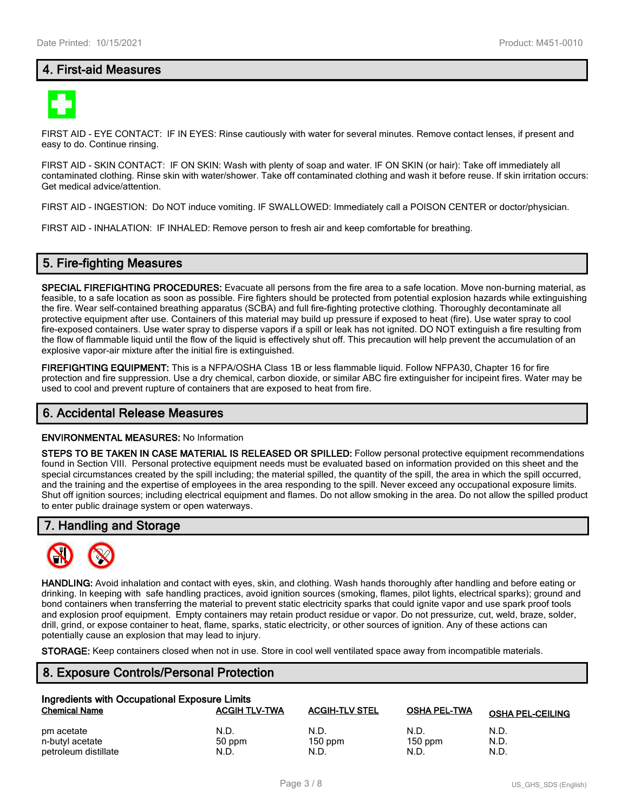# **4. First-aid Measures**



FIRST AID - EYE CONTACT: IF IN EYES: Rinse cautiously with water for several minutes. Remove contact lenses, if present and easy to do. Continue rinsing.

FIRST AID - SKIN CONTACT: IF ON SKIN: Wash with plenty of soap and water. IF ON SKIN (or hair): Take off immediately all contaminated clothing. Rinse skin with water/shower. Take off contaminated clothing and wash it before reuse. If skin irritation occurs: Get medical advice/attention.

FIRST AID - INGESTION: Do NOT induce vomiting. IF SWALLOWED: Immediately call a POISON CENTER or doctor/physician.

FIRST AID - INHALATION: IF INHALED: Remove person to fresh air and keep comfortable for breathing.

## **5. Fire-fighting Measures**

**SPECIAL FIREFIGHTING PROCEDURES:** Evacuate all persons from the fire area to a safe location. Move non-burning material, as feasible, to a safe location as soon as possible. Fire fighters should be protected from potential explosion hazards while extinguishing the fire. Wear self-contained breathing apparatus (SCBA) and full fire-fighting protective clothing. Thoroughly decontaminate all protective equipment after use. Containers of this material may build up pressure if exposed to heat (fire). Use water spray to cool fire-exposed containers. Use water spray to disperse vapors if a spill or leak has not ignited. DO NOT extinguish a fire resulting from the flow of flammable liquid until the flow of the liquid is effectively shut off. This precaution will help prevent the accumulation of an explosive vapor-air mixture after the initial fire is extinguished.

**FIREFIGHTING EQUIPMENT:** This is a NFPA/OSHA Class 1B or less flammable liquid. Follow NFPA30, Chapter 16 for fire protection and fire suppression. Use a dry chemical, carbon dioxide, or similar ABC fire extinguisher for incipeint fires. Water may be used to cool and prevent rupture of containers that are exposed to heat from fire.

#### **6. Accidental Release Measures**

#### **ENVIRONMENTAL MEASURES:** No Information

**STEPS TO BE TAKEN IN CASE MATERIAL IS RELEASED OR SPILLED:** Follow personal protective equipment recommendations found in Section VIII. Personal protective equipment needs must be evaluated based on information provided on this sheet and the special circumstances created by the spill including; the material spilled, the quantity of the spill, the area in which the spill occurred, and the training and the expertise of employees in the area responding to the spill. Never exceed any occupational exposure limits. Shut off ignition sources; including electrical equipment and flames. Do not allow smoking in the area. Do not allow the spilled product to enter public drainage system or open waterways.

#### **7. Handling and Storage**



**HANDLING:** Avoid inhalation and contact with eyes, skin, and clothing. Wash hands thoroughly after handling and before eating or drinking. In keeping with safe handling practices, avoid ignition sources (smoking, flames, pilot lights, electrical sparks); ground and bond containers when transferring the material to prevent static electricity sparks that could ignite vapor and use spark proof tools and explosion proof equipment. Empty containers may retain product residue or vapor. Do not pressurize, cut, weld, braze, solder, drill, grind, or expose container to heat, flame, sparks, static electricity, or other sources of ignition. Any of these actions can potentially cause an explosion that may lead to injury.

**STORAGE:** Keep containers closed when not in use. Store in cool well ventilated space away from incompatible materials.

# **8. Exposure Controls/Personal Protection**

| Ingredients with Occupational Exposure Limits |                      |                       |                     |                         |  |  |
|-----------------------------------------------|----------------------|-----------------------|---------------------|-------------------------|--|--|
| <b>Chemical Name</b>                          | <b>ACGIH TLV-TWA</b> | <b>ACGIH-TLV STEL</b> | <b>OSHA PEL-TWA</b> | <b>OSHA PEL-CEILING</b> |  |  |
| pm acetate                                    | N.D.                 | N.D.                  | N.D.                | N.D.                    |  |  |
| n-butyl acetate                               | 50 ppm               | $150$ ppm             | $150$ ppm           | N.D.                    |  |  |
| petroleum distillate                          | N.D.                 | N.D.                  | N.D.                | N.D.                    |  |  |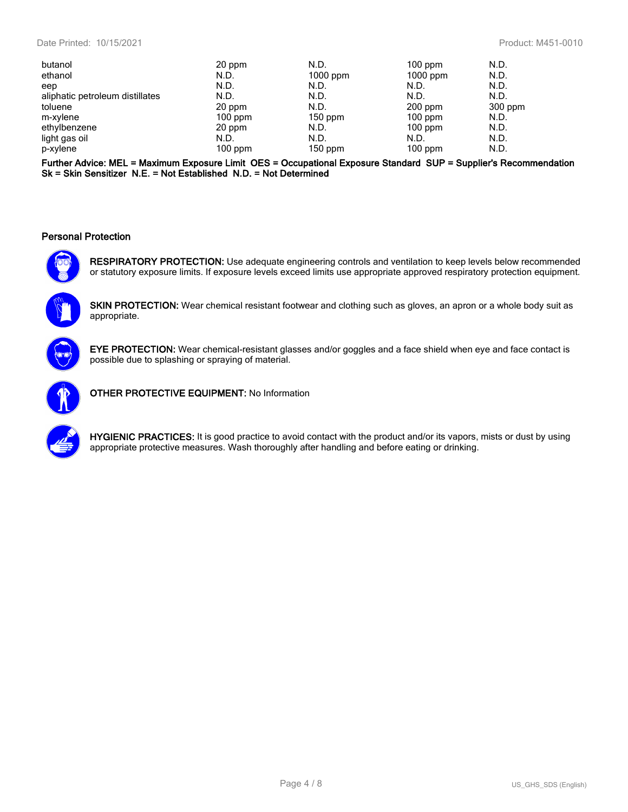| butanol                         | 20 ppm    | N.D.       | $100$ ppm  | N.D.      |
|---------------------------------|-----------|------------|------------|-----------|
| ethanol                         | N.D.      | $1000$ ppm | $1000$ ppm | N.D.      |
| eep                             | N.D.      | N.D.       | N.D.       | N.D.      |
| aliphatic petroleum distillates | N.D.      | N.D.       | N.D.       | N.D.      |
| toluene                         | 20 ppm    | N.D.       | $200$ ppm  | $300$ ppm |
| m-xylene                        | $100$ ppm | $150$ ppm  | $100$ ppm  | N.D.      |
| ethylbenzene                    | 20 ppm    | N.D.       | $100$ ppm  | N.D.      |
| light gas oil                   | N.D.      | N.D.       | N.D.       | N.D.      |
| p-xylene                        | $100$ ppm | $150$ ppm  | $100$ ppm  | N.D.      |

**Further Advice: MEL = Maximum Exposure Limit OES = Occupational Exposure Standard SUP = Supplier's Recommendation Sk = Skin Sensitizer N.E. = Not Established N.D. = Not Determined**

#### **Personal Protection**



**RESPIRATORY PROTECTION:** Use adequate engineering controls and ventilation to keep levels below recommended or statutory exposure limits. If exposure levels exceed limits use appropriate approved respiratory protection equipment.

**SKIN PROTECTION:** Wear chemical resistant footwear and clothing such as gloves, an apron or a whole body suit as appropriate.



**EYE PROTECTION:** Wear chemical-resistant glasses and/or goggles and a face shield when eye and face contact is possible due to splashing or spraying of material.



**OTHER PROTECTIVE EQUIPMENT:** No Information



**HYGIENIC PRACTICES:** It is good practice to avoid contact with the product and/or its vapors, mists or dust by using appropriate protective measures. Wash thoroughly after handling and before eating or drinking.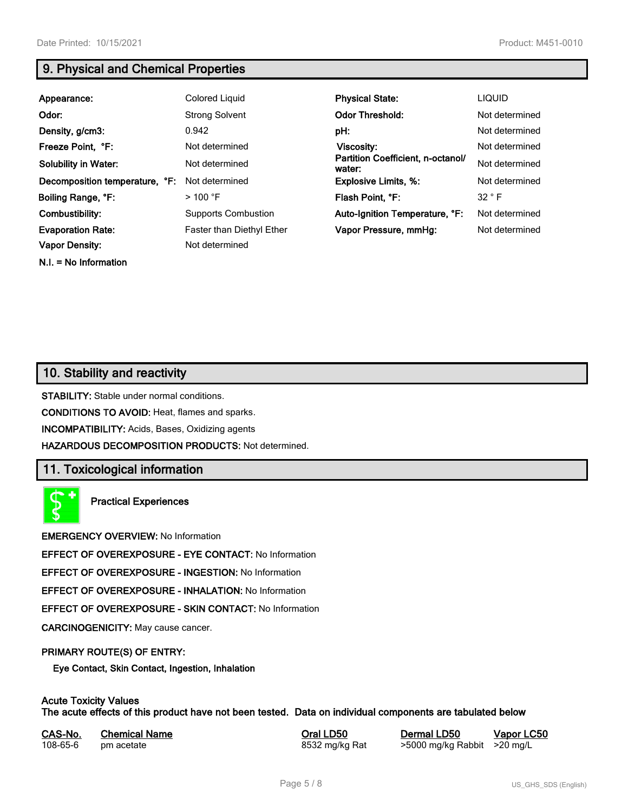**N.I. = No Information**

# **9. Physical and Chemical Properties**

| Appearance:                    | Colored Liquid                   | <b>Physical State:</b>                      | <b>LIQUID</b>  |
|--------------------------------|----------------------------------|---------------------------------------------|----------------|
| Odor:                          | <b>Strong Solvent</b>            | <b>Odor Threshold:</b>                      | Not determined |
| Density, g/cm3:                | 0.942                            | pH:                                         | Not determined |
| Freeze Point, °F:              | Not determined                   | Viscosity:                                  | Not determined |
| <b>Solubility in Water:</b>    | Not determined                   | Partition Coefficient, n-octanol/<br>water: | Not determined |
| Decomposition temperature, °F: | Not determined                   | <b>Explosive Limits, %:</b>                 | Not determined |
| Boiling Range, °F:             | $>$ 100 °F                       | Flash Point, °F:                            | 32 ° F         |
| Combustibility:                | <b>Supports Combustion</b>       | Auto-Ignition Temperature, °F:              | Not determined |
| <b>Evaporation Rate:</b>       | <b>Faster than Diethyl Ether</b> | Vapor Pressure, mmHg:                       | Not determined |
| <b>Vapor Density:</b>          | Not determined                   |                                             |                |

# **10. Stability and reactivity**

**STABILITY:** Stable under normal conditions.

**CONDITIONS TO AVOID:** Heat, flames and sparks.

**INCOMPATIBILITY:** Acids, Bases, Oxidizing agents

**HAZARDOUS DECOMPOSITION PRODUCTS:** Not determined.

# **11. Toxicological information**

**Practical Experiences**

**EMERGENCY OVERVIEW:** No Information

**EFFECT OF OVEREXPOSURE - EYE CONTACT:** No Information

**EFFECT OF OVEREXPOSURE - INGESTION:** No Information

**EFFECT OF OVEREXPOSURE - INHALATION:** No Information

**EFFECT OF OVEREXPOSURE - SKIN CONTACT:** No Information

**CARCINOGENICITY:** May cause cancer.

#### **PRIMARY ROUTE(S) OF ENTRY:**

**Eye Contact, Skin Contact, Ingestion, Inhalation**

## **Acute Toxicity Values**

**The acute effects of this product have not been tested. Data on individual components are tabulated below**

| CAS-No.  | <b>Chemical Name</b> |
|----------|----------------------|
| 108-65-6 | pm acetate           |

**Casary Chemical Chemical LD50 Chemical LD50 Vapor LC50** 8532 mg/kg Rat >5000 mg/kg Rabbit >20 mg/L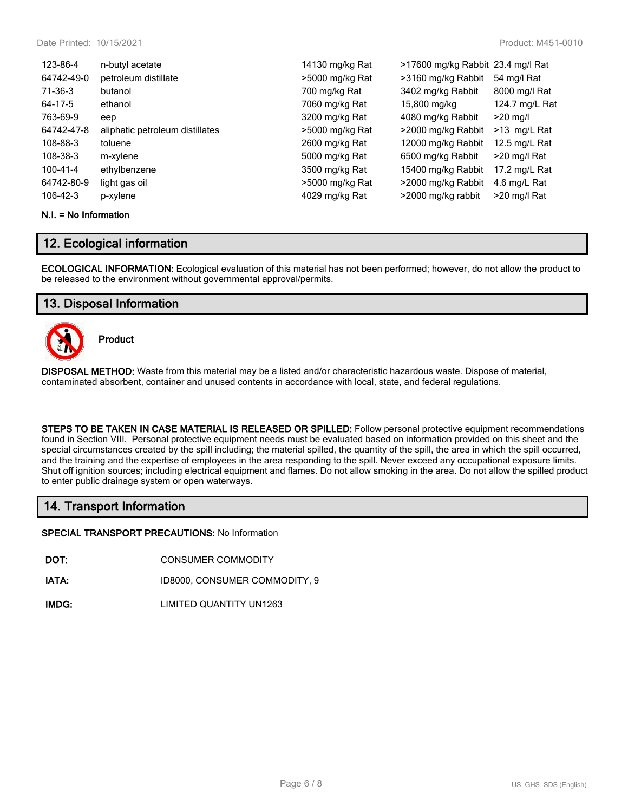| 123-86-4   | n-butyl acetate                 | 14130 mg/kg Rat | >17600 mg/kg Rabbit 23.4 mg/l Rat |                |
|------------|---------------------------------|-----------------|-----------------------------------|----------------|
| 64742-49-0 | petroleum distillate            | >5000 mg/kg Rat | >3160 mg/kg Rabbit                | 54 mg/l Rat    |
| 71-36-3    | butanol                         | 700 mg/kg Rat   | 3402 mg/kg Rabbit                 | 8000 mg/l Rat  |
| 64-17-5    | ethanol                         | 7060 mg/kg Rat  | 15,800 mg/kg                      | 124.7 mg/L Rat |
| 763-69-9   | eep                             | 3200 mg/kg Rat  | 4080 mg/kg Rabbit                 | $>20$ mg/l     |
| 64742-47-8 | aliphatic petroleum distillates | >5000 mg/kg Rat | >2000 mg/kg Rabbit                | >13 mg/L Rat   |
| 108-88-3   | toluene                         | 2600 mg/kg Rat  | 12000 mg/kg Rabbit                | 12.5 mg/L Rat  |
| 108-38-3   | m-xylene                        | 5000 mg/kg Rat  | 6500 mg/kg Rabbit                 | >20 mg/l Rat   |
| 100-41-4   | ethylbenzene                    | 3500 mg/kg Rat  | 15400 mg/kg Rabbit                | 17.2 mg/L Rat  |
| 64742-80-9 | light gas oil                   | >5000 mg/kg Rat | >2000 mg/kg Rabbit                | 4.6 mg/L Rat   |
| 106-42-3   | p-xylene                        | 4029 mg/kg Rat  | >2000 mg/kg rabbit                | >20 mg/l Rat   |

#### **N.I. = No Information**

## **12. Ecological information**

**ECOLOGICAL INFORMATION:** Ecological evaluation of this material has not been performed; however, do not allow the product to be released to the environment without governmental approval/permits.

## **13. Disposal Information**



**Product**

**DISPOSAL METHOD:** Waste from this material may be a listed and/or characteristic hazardous waste. Dispose of material, contaminated absorbent, container and unused contents in accordance with local, state, and federal regulations.

**STEPS TO BE TAKEN IN CASE MATERIAL IS RELEASED OR SPILLED:** Follow personal protective equipment recommendations found in Section VIII. Personal protective equipment needs must be evaluated based on information provided on this sheet and the special circumstances created by the spill including; the material spilled, the quantity of the spill, the area in which the spill occurred, and the training and the expertise of employees in the area responding to the spill. Never exceed any occupational exposure limits. Shut off ignition sources; including electrical equipment and flames. Do not allow smoking in the area. Do not allow the spilled product to enter public drainage system or open waterways.

# **14. Transport Information**

**SPECIAL TRANSPORT PRECAUTIONS:** No Information

**DOT:** CONSUMER COMMODITY

**IATA:** ID8000, CONSUMER COMMODITY, 9

**IMDG:** LIMITED QUANTITY UN1263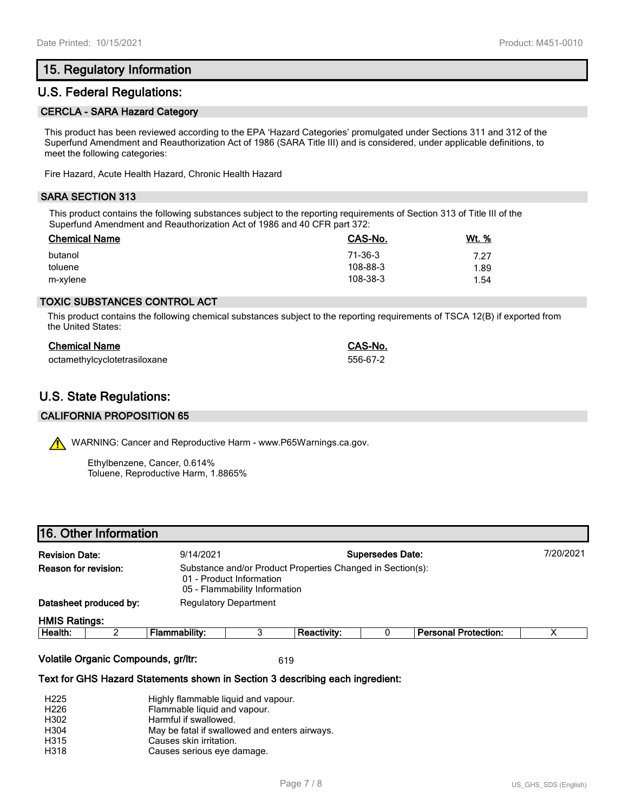# **15. Regulatory Information**

# **U.S. Federal Regulations:**

#### **CERCLA - SARA Hazard Category**

This product has been reviewed according to the EPA 'Hazard Categories' promulgated under Sections 311 and 312 of the Superfund Amendment and Reauthorization Act of 1986 (SARA Title III) and is considered, under applicable definitions, to meet the following categories:

Fire Hazard, Acute Health Hazard, Chronic Health Hazard

## **SARA SECTION 313**

This product contains the following substances subject to the reporting requirements of Section 313 of Title III of the Superfund Amendment and Reauthorization Act of 1986 and 40 CFR part 372:

| <b>Chemical Name</b> | CAS-No.  | Wt. % |
|----------------------|----------|-------|
| butanol              | 71-36-3  | 7.27  |
| toluene              | 108-88-3 | 1.89  |
| m-xylene             | 108-38-3 | 1.54  |

### **TOXIC SUBSTANCES CONTROL ACT**

This product contains the following chemical substances subject to the reporting requirements of TSCA 12(B) if exported from the United States:

| <b>Chemical Name</b>         | CAS-No.  |
|------------------------------|----------|
| octamethylcyclotetrasiloxane | 556-67-2 |

# **U.S. State Regulations:**

#### **CALIFORNIA PROPOSITION 65**

WARNING: Cancer and Reproductive Harm - www.P65Warnings.ca.gov.

Ethylbenzene, Cancer, 0.614% Toluene, Reproductive Harm, 1.8865%

## **16. Other Information**

| <b>Revision Date:</b>  |  | 9/14/2021                                                                                                               |  |                    | <b>Supersedes Date:</b> |                             | 7/20/2021 |
|------------------------|--|-------------------------------------------------------------------------------------------------------------------------|--|--------------------|-------------------------|-----------------------------|-----------|
| Reason for revision:   |  | Substance and/or Product Properties Changed in Section(s):<br>01 - Product Information<br>05 - Flammability Information |  |                    |                         |                             |           |
| Datasheet produced by: |  | <b>Regulatory Department</b>                                                                                            |  |                    |                         |                             |           |
| <b>HMIS Ratings:</b>   |  |                                                                                                                         |  |                    |                         |                             |           |
| Health:                |  | <b>Flammability:</b>                                                                                                    |  | <b>Reactivity:</b> |                         | <b>Personal Protection:</b> |           |

**Volatile Organic Compounds, gr/ltr:** 619

**Text for GHS Hazard Statements shown in Section 3 describing each ingredient:**

| H <sub>225</sub> | Highly flammable liquid and vapour.           |
|------------------|-----------------------------------------------|
| H <sub>226</sub> | Flammable liquid and vapour.                  |
| H302             | Harmful if swallowed.                         |
| H304             | May be fatal if swallowed and enters airways. |
| H315             | Causes skin irritation.                       |
| H318             | Causes serious eye damage.                    |